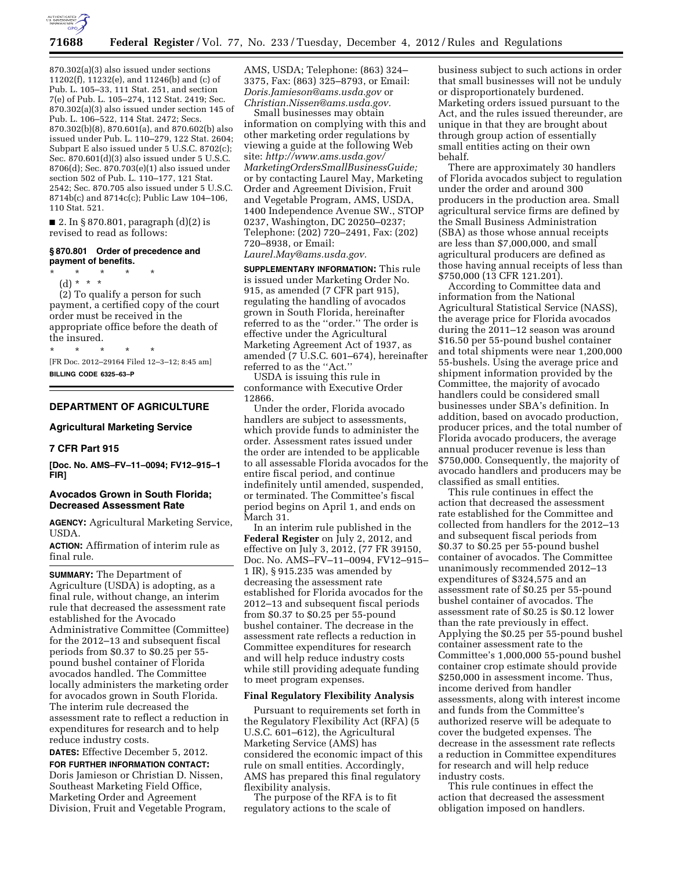

870.302(a)(3) also issued under sections 11202(f), 11232(e), and 11246(b) and (c) of Pub. L. 105–33, 111 Stat. 251, and section 7(e) of Pub. L. 105–274, 112 Stat. 2419; Sec. 870.302(a)(3) also issued under section 145 of Pub. L. 106–522, 114 Stat. 2472; Secs. 870.302(b)(8), 870.601(a), and 870.602(b) also issued under Pub. L. 110–279, 122 Stat. 2604; Subpart E also issued under 5 U.S.C. 8702(c); Sec. 870.601(d)(3) also issued under 5 U.S.C. 8706(d); Sec. 870.703(e)(1) also issued under section 502 of Pub. L. 110–177, 121 Stat. 2542; Sec. 870.705 also issued under 5 U.S.C. 8714b(c) and 8714c(c); Public Law 104–106, 110 Stat. 521.

■ 2. In § 870.801, paragraph (d)(2) is revised to read as follows:

#### **§ 870.801 Order of precedence and payment of benefits.**

- \* \* \* \* \*
	- (d) \* \* \*

(2) To qualify a person for such payment, a certified copy of the court order must be received in the appropriate office before the death of the insured.

\* \* \* \* \* [FR Doc. 2012–29164 Filed 12–3–12; 8:45 am] **BILLING CODE 6325–63–P** 

# **DEPARTMENT OF AGRICULTURE**

#### **Agricultural Marketing Service**

#### **7 CFR Part 915**

**[Doc. No. AMS–FV–11–0094; FV12–915–1 FIR]** 

## **Avocados Grown in South Florida; Decreased Assessment Rate**

**AGENCY:** Agricultural Marketing Service, USDA.

**ACTION:** Affirmation of interim rule as final rule.

**SUMMARY:** The Department of Agriculture (USDA) is adopting, as a final rule, without change, an interim rule that decreased the assessment rate established for the Avocado Administrative Committee (Committee) for the 2012–13 and subsequent fiscal periods from \$0.37 to \$0.25 per 55 pound bushel container of Florida avocados handled. The Committee locally administers the marketing order for avocados grown in South Florida. The interim rule decreased the assessment rate to reflect a reduction in expenditures for research and to help reduce industry costs.

**DATES:** Effective December 5, 2012.

**FOR FURTHER INFORMATION CONTACT:**  Doris Jamieson or Christian D. Nissen, Southeast Marketing Field Office, Marketing Order and Agreement Division, Fruit and Vegetable Program, AMS, USDA; Telephone: (863) 324– 3375, Fax: (863) 325–8793, or Email: *[Doris.Jamieson@ams.usda.gov](mailto:Doris.Jamieson@ams.usda.gov)* or *[Christian.Nissen@ams.usda.gov.](mailto:Christian.Nissen@ams.usda.gov)* 

Small businesses may obtain information on complying with this and other marketing order regulations by viewing a guide at the following Web site: *[http://www.ams.usda.gov/](http://www.ams.usda.gov/MarketingOrdersSmallBusinessGuide)  [MarketingOrdersSmallBusinessGuide;](http://www.ams.usda.gov/MarketingOrdersSmallBusinessGuide)*  or by contacting Laurel May, Marketing Order and Agreement Division, Fruit and Vegetable Program, AMS, USDA, 1400 Independence Avenue SW., STOP 0237, Washington, DC 20250–0237; Telephone: (202) 720–2491, Fax: (202) 720–8938, or Email: *[Laurel.May@ams.usda.gov.](mailto:Laurel.May@ams.usda.gov)* 

**SUPPLEMENTARY INFORMATION:** This rule is issued under Marketing Order No. 915, as amended (7 CFR part 915), regulating the handling of avocados grown in South Florida, hereinafter referred to as the ''order.'' The order is effective under the Agricultural Marketing Agreement Act of 1937, as amended (7 U.S.C. 601–674), hereinafter referred to as the ''Act.''

USDA is issuing this rule in conformance with Executive Order 12866.

Under the order, Florida avocado handlers are subject to assessments, which provide funds to administer the order. Assessment rates issued under the order are intended to be applicable to all assessable Florida avocados for the entire fiscal period, and continue indefinitely until amended, suspended, or terminated. The Committee's fiscal period begins on April 1, and ends on March 31.

In an interim rule published in the **Federal Register** on July 2, 2012, and effective on July 3, 2012, (77 FR 39150, Doc. No. AMS–FV–11–0094, FV12–915– 1 IR), § 915.235 was amended by decreasing the assessment rate established for Florida avocados for the 2012–13 and subsequent fiscal periods from \$0.37 to \$0.25 per 55-pound bushel container. The decrease in the assessment rate reflects a reduction in Committee expenditures for research and will help reduce industry costs while still providing adequate funding to meet program expenses.

#### **Final Regulatory Flexibility Analysis**

Pursuant to requirements set forth in the Regulatory Flexibility Act (RFA) (5 U.S.C. 601–612), the Agricultural Marketing Service (AMS) has considered the economic impact of this rule on small entities. Accordingly, AMS has prepared this final regulatory flexibility analysis.

The purpose of the RFA is to fit regulatory actions to the scale of

business subject to such actions in order that small businesses will not be unduly or disproportionately burdened. Marketing orders issued pursuant to the Act, and the rules issued thereunder, are unique in that they are brought about through group action of essentially small entities acting on their own behalf.

There are approximately 30 handlers of Florida avocados subject to regulation under the order and around 300 producers in the production area. Small agricultural service firms are defined by the Small Business Administration (SBA) as those whose annual receipts are less than \$7,000,000, and small agricultural producers are defined as those having annual receipts of less than \$750,000 (13 CFR 121.201).

According to Committee data and information from the National Agricultural Statistical Service (NASS), the average price for Florida avocados during the 2011–12 season was around \$16.50 per 55-pound bushel container and total shipments were near 1,200,000 55-bushels. Using the average price and shipment information provided by the Committee, the majority of avocado handlers could be considered small businesses under SBA's definition. In addition, based on avocado production, producer prices, and the total number of Florida avocado producers, the average annual producer revenue is less than \$750,000. Consequently, the majority of avocado handlers and producers may be classified as small entities.

This rule continues in effect the action that decreased the assessment rate established for the Committee and collected from handlers for the 2012–13 and subsequent fiscal periods from \$0.37 to \$0.25 per 55-pound bushel container of avocados. The Committee unanimously recommended 2012–13 expenditures of \$324,575 and an assessment rate of \$0.25 per 55-pound bushel container of avocados. The assessment rate of \$0.25 is \$0.12 lower than the rate previously in effect. Applying the \$0.25 per 55-pound bushel container assessment rate to the Committee's 1,000,000 55-pound bushel container crop estimate should provide \$250,000 in assessment income. Thus, income derived from handler assessments, along with interest income and funds from the Committee's authorized reserve will be adequate to cover the budgeted expenses. The decrease in the assessment rate reflects a reduction in Committee expenditures for research and will help reduce industry costs.

This rule continues in effect the action that decreased the assessment obligation imposed on handlers.